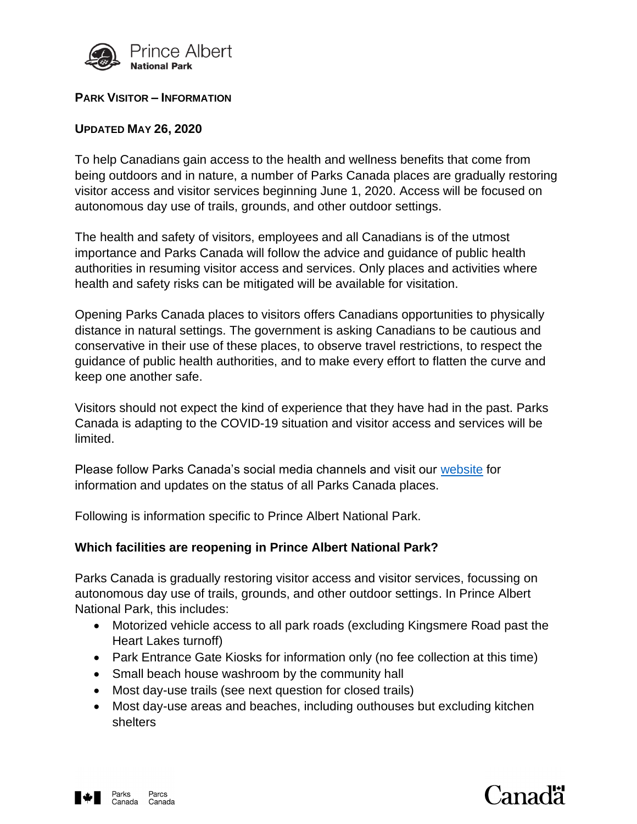

### **PARK VISITOR – INFORMATION**

## **UPDATED MAY 26, 2020**

To help Canadians gain access to the health and wellness benefits that come from being outdoors and in nature, a number of Parks Canada places are gradually restoring visitor access and visitor services beginning June 1, 2020. Access will be focused on autonomous day use of trails, grounds, and other outdoor settings.

The health and safety of visitors, employees and all Canadians is of the utmost importance and Parks Canada will follow the advice and guidance of public health authorities in resuming visitor access and services. Only places and activities where health and safety risks can be mitigated will be available for visitation.

Opening Parks Canada places to visitors offers Canadians opportunities to physically distance in natural settings. The government is asking Canadians to be cautious and conservative in their use of these places, to observe travel restrictions, to respect the guidance of public health authorities, and to make every effort to flatten the curve and keep one another safe.

Visitors should not expect the kind of experience that they have had in the past. Parks Canada is adapting to the COVID-19 situation and visitor access and services will be limited.

Please follow Parks Canada's social media channels and visit our [website](http://www.pc.gc.ca/princealbert) for information and updates on the status of all Parks Canada places.

Following is information specific to Prince Albert National Park.

## **Which facilities are reopening in Prince Albert National Park?**

Parks Canada is gradually restoring visitor access and visitor services, focussing on autonomous day use of trails, grounds, and other outdoor settings. In Prince Albert National Park, this includes:

- Motorized vehicle access to all park roads (excluding Kingsmere Road past the Heart Lakes turnoff)
- Park Entrance Gate Kiosks for information only (no fee collection at this time)
- Small beach house washroom by the community hall
- Most day-use trails (see next question for closed trails)
- Most day-use areas and beaches, including outhouses but excluding kitchen shelters





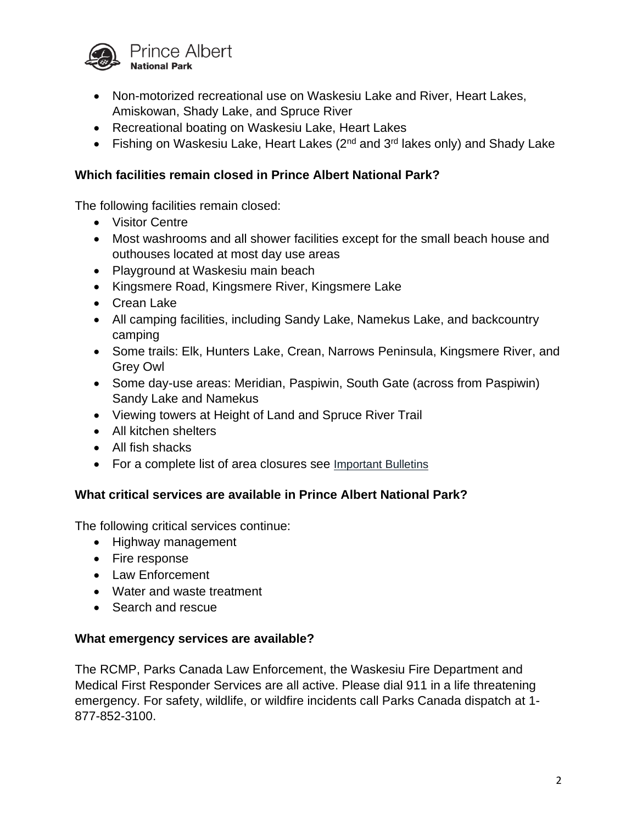

- Non-motorized recreational use on Waskesiu Lake and River, Heart Lakes, Amiskowan, Shady Lake, and Spruce River
- Recreational boating on Waskesiu Lake, Heart Lakes
- Fishing on Waskesiu Lake, Heart Lakes  $(2^{nd}$  and  $3^{rd}$  lakes only) and Shady Lake

## **Which facilities remain closed in Prince Albert National Park?**

The following facilities remain closed:

- Visitor Centre
- Most washrooms and all shower facilities except for the small beach house and outhouses located at most day use areas
- Playground at Waskesiu main beach
- Kingsmere Road, Kingsmere River, Kingsmere Lake
- Crean Lake
- All camping facilities, including Sandy Lake, Namekus Lake, and backcountry camping
- Some trails: Elk, Hunters Lake, Crean, Narrows Peninsula, Kingsmere River, and Grey Owl
- Some day-use areas: Meridian, Paspiwin, South Gate (across from Paspiwin) Sandy Lake and Namekus
- Viewing towers at Height of Land and Spruce River Trail
- All kitchen shelters
- All fish shacks
- For a complete list of area closures see [Important Bulletins](https://www.pc.gc.ca/en/pn-np/sk/princealbert/bulletins)

# **What critical services are available in Prince Albert National Park?**

The following critical services continue:

- Highway management
- Fire response
- Law Enforcement
- Water and waste treatment
- Search and rescue

## **What emergency services are available?**

The RCMP, Parks Canada Law Enforcement, the Waskesiu Fire Department and Medical First Responder Services are all active. Please dial 911 in a life threatening emergency. For safety, wildlife, or wildfire incidents call Parks Canada dispatch at 1- 877-852-3100.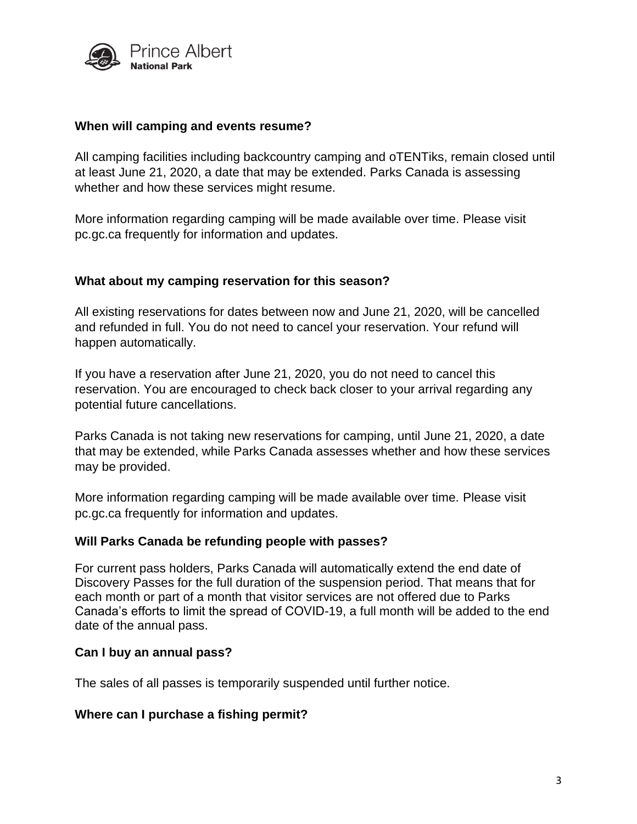

### **When will camping and events resume?**

All camping facilities including backcountry camping and oTENTiks, remain closed until at least June 21, 2020, a date that may be extended. Parks Canada is assessing whether and how these services might resume.

More information regarding camping will be made available over time. Please visit pc.gc.ca frequently for information and updates.

### **What about my camping reservation for this season?**

All existing reservations for dates between now and June 21, 2020, will be cancelled and refunded in full. You do not need to cancel your reservation. Your refund will happen automatically.

If you have a reservation after June 21, 2020, you do not need to cancel this reservation. You are encouraged to check back closer to your arrival regarding any potential future cancellations.

Parks Canada is not taking new reservations for camping, until June 21, 2020, a date that may be extended, while Parks Canada assesses whether and how these services may be provided.

More information regarding camping will be made available over time. Please visit pc.gc.ca frequently for information and updates.

#### **Will Parks Canada be refunding people with passes?**

For current pass holders, Parks Canada will automatically extend the end date of Discovery Passes for the full duration of the suspension period. That means that for each month or part of a month that visitor services are not offered due to Parks Canada's efforts to limit the spread of COVID-19, a full month will be added to the end date of the annual pass.

#### **Can I buy an annual pass?**

The sales of all passes is temporarily suspended until further notice.

## **Where can I purchase a fishing permit?**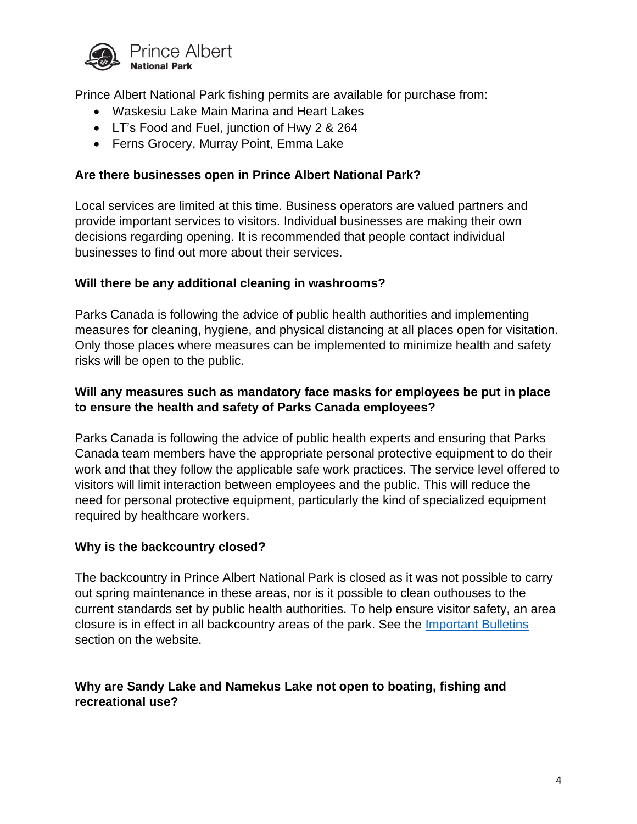

Prince Albert National Park fishing permits are available for purchase from:

- Waskesiu Lake Main Marina and Heart Lakes
- LT's Food and Fuel, junction of Hwy 2 & 264
- Ferns Grocery, Murray Point, Emma Lake

## **Are there businesses open in Prince Albert National Park?**

Local services are limited at this time. Business operators are valued partners and provide important services to visitors. Individual businesses are making their own decisions regarding opening. It is recommended that people contact individual businesses to find out more about their services.

## **Will there be any additional cleaning in washrooms?**

Parks Canada is following the advice of public health authorities and implementing measures for cleaning, hygiene, and physical distancing at all places open for visitation. Only those places where measures can be implemented to minimize health and safety risks will be open to the public.

## **Will any measures such as mandatory face masks for employees be put in place to ensure the health and safety of Parks Canada employees?**

Parks Canada is following the advice of public health experts and ensuring that Parks Canada team members have the appropriate personal protective equipment to do their work and that they follow the applicable safe work practices. The service level offered to visitors will limit interaction between employees and the public. This will reduce the need for personal protective equipment, particularly the kind of specialized equipment required by healthcare workers.

#### **Why is the backcountry closed?**

The backcountry in Prince Albert National Park is closed as it was not possible to carry out spring maintenance in these areas, nor is it possible to clean outhouses to the current standards set by public health authorities. To help ensure visitor safety, an area closure is in effect in all backcountry areas of the park. See the [Important Bulletins](https://www.pc.gc.ca/en/pn-np/sk/princealbert/bulletins) section on the website.

## **Why are Sandy Lake and Namekus Lake not open to boating, fishing and recreational use?**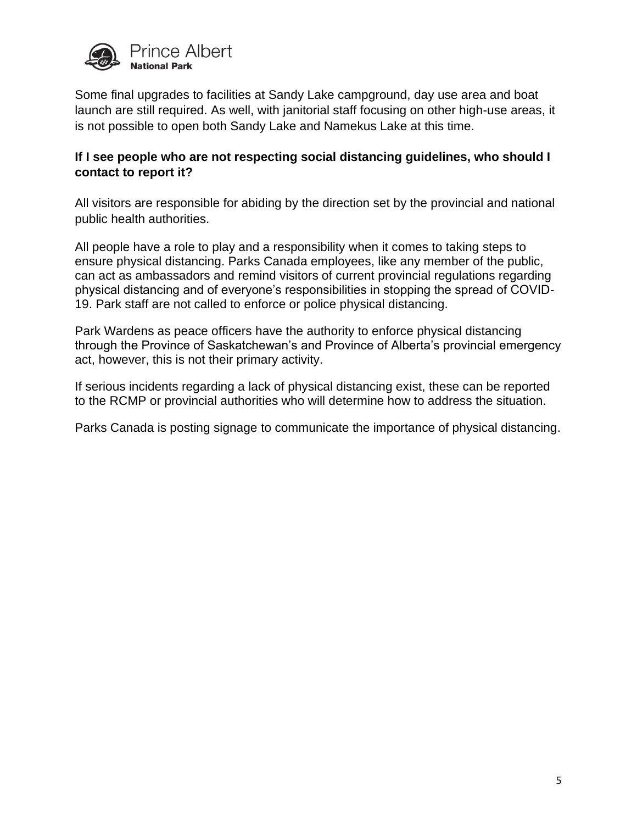

Some final upgrades to facilities at Sandy Lake campground, day use area and boat launch are still required. As well, with janitorial staff focusing on other high-use areas, it is not possible to open both Sandy Lake and Namekus Lake at this time.

## **If I see people who are not respecting social distancing guidelines, who should I contact to report it?**

All visitors are responsible for abiding by the direction set by the provincial and national public health authorities.

All people have a role to play and a responsibility when it comes to taking steps to ensure physical distancing. Parks Canada employees, like any member of the public, can act as ambassadors and remind visitors of current provincial regulations regarding physical distancing and of everyone's responsibilities in stopping the spread of COVID-19. Park staff are not called to enforce or police physical distancing.

Park Wardens as peace officers have the authority to enforce physical distancing through the Province of Saskatchewan's and Province of Alberta's provincial emergency act, however, this is not their primary activity.

If serious incidents regarding a lack of physical distancing exist, these can be reported to the RCMP or provincial authorities who will determine how to address the situation.

Parks Canada is posting signage to communicate the importance of physical distancing.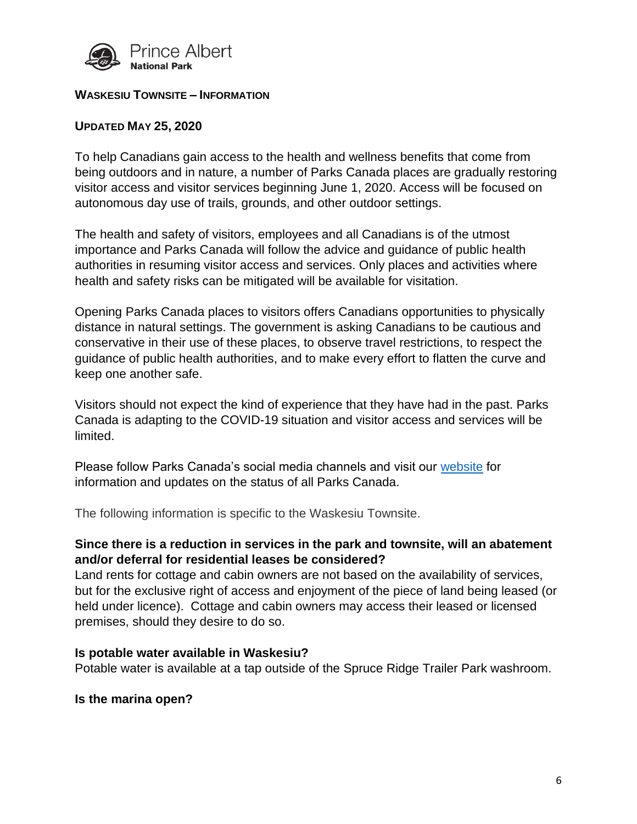

#### **WASKESIU TOWNSITE – INFORMATION**

## **UPDATED MAY 25, 2020**

To help Canadians gain access to the health and wellness benefits that come from being outdoors and in nature, a number of Parks Canada places are gradually restoring visitor access and visitor services beginning June 1, 2020. Access will be focused on autonomous day use of trails, grounds, and other outdoor settings.

The health and safety of visitors, employees and all Canadians is of the utmost importance and Parks Canada will follow the advice and guidance of public health authorities in resuming visitor access and services. Only places and activities where health and safety risks can be mitigated will be available for visitation.

Opening Parks Canada places to visitors offers Canadians opportunities to physically distance in natural settings. The government is asking Canadians to be cautious and conservative in their use of these places, to observe travel restrictions, to respect the guidance of public health authorities, and to make every effort to flatten the curve and keep one another safe.

Visitors should not expect the kind of experience that they have had in the past. Parks Canada is adapting to the COVID-19 situation and visitor access and services will be limited.

Please follow Parks Canada's social media channels and visit our [website](http://www.pc.gc.ca/princealbert) for information and updates on the status of all Parks Canada.

The following information is specific to the Waskesiu Townsite.

## **Since there is a reduction in services in the park and townsite, will an abatement and/or deferral for residential leases be considered?**

Land rents for cottage and cabin owners are not based on the availability of services, but for the exclusive right of access and enjoyment of the piece of land being leased (or held under licence). Cottage and cabin owners may access their leased or licensed premises, should they desire to do so.

#### **Is potable water available in Waskesiu?**

Potable water is available at a tap outside of the Spruce Ridge Trailer Park washroom.

#### **Is the marina open?**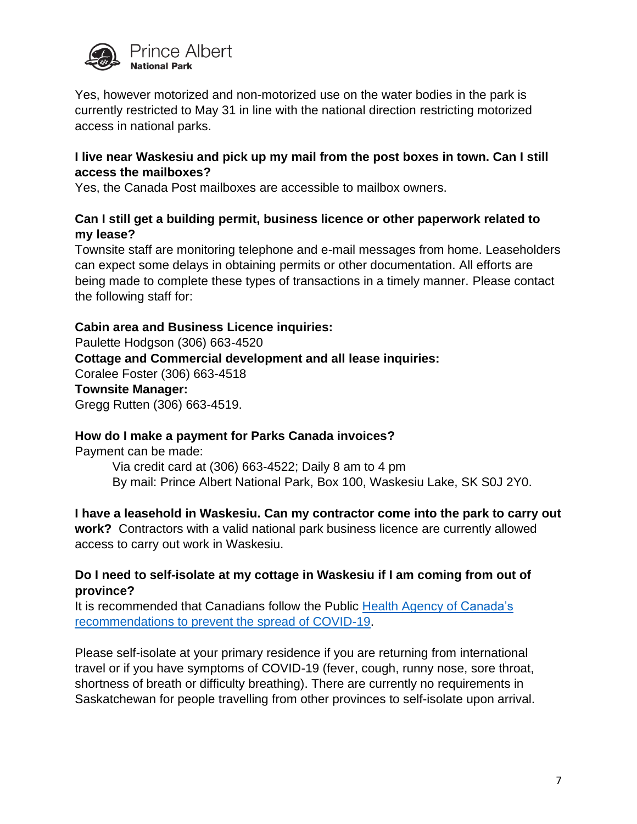

Yes, however motorized and non-motorized use on the water bodies in the park is currently restricted to May 31 in line with the national direction restricting motorized access in national parks.

## **I live near Waskesiu and pick up my mail from the post boxes in town. Can I still access the mailboxes?**

Yes, the Canada Post mailboxes are accessible to mailbox owners.

## **Can I still get a building permit, business licence or other paperwork related to my lease?**

Townsite staff are monitoring telephone and e-mail messages from home. Leaseholders can expect some delays in obtaining permits or other documentation. All efforts are being made to complete these types of transactions in a timely manner. Please contact the following staff for:

## **Cabin area and Business Licence inquiries:**

Paulette Hodgson (306) 663-4520 **Cottage and Commercial development and all lease inquiries:**  Coralee Foster (306) 663-4518 **Townsite Manager:** Gregg Rutten (306) 663-4519.

## **How do I make a payment for Parks Canada invoices?**

Payment can be made:

Via credit card at (306) 663-4522; Daily 8 am to 4 pm By mail: Prince Albert National Park, Box 100, Waskesiu Lake, SK S0J 2Y0.

## **I have a leasehold in Waskesiu. Can my contractor come into the park to carry out**

**work?** Contractors with a valid national park business licence are currently allowed access to carry out work in Waskesiu.

## **Do I need to self-isolate at my cottage in Waskesiu if I am coming from out of province?**

It is recommended that Canadians follow the Public [Health Agency of Canada's](https://www.canada.ca/en/public-health/services/diseases/2019-novel-coronavirus-infection/prevention-risks.html?topic=tilelink)  [recommendations to prevent the spread of COVID-19.](https://www.canada.ca/en/public-health/services/diseases/2019-novel-coronavirus-infection/prevention-risks.html?topic=tilelink)

Please self-isolate at your primary residence if you are returning from international travel or if you have symptoms of COVID-19 (fever, cough, runny nose, sore throat, shortness of breath or difficulty breathing). There are currently no requirements in Saskatchewan for people travelling from other provinces to self-isolate upon arrival.